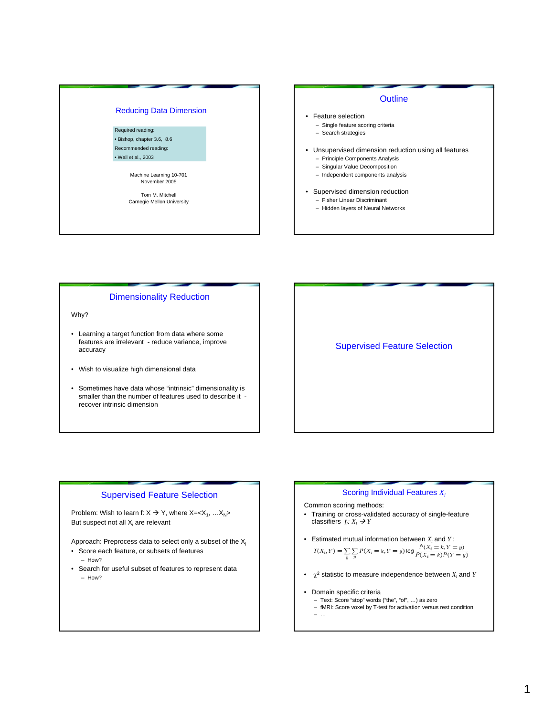# Reducing Data Dimension Machine Learning 10-701 November 2005 Required reading: • Bishop, chapter 3.6, 8.6 Recommended reading: • Wall et al., 2003

Tom M. Mitchell Carnegie Mellon University

### **Outline**

- 
- Feature selection – Single feature scoring criteria
	- Search strategies
- Unsupervised dimension reduction using all features
	- Principle Components Analysis
	- Singular Value Decomposition
	- Independent components analysis
- Supervised dimension reduction – Fisher Linear Discriminant
	- Hidden layers of Neural Networks

### Dimensionality Reduction

Why?

- Learning a target function from data where some features are irrelevant - reduce variance, improve accuracy
- Wish to visualize high dimensional data
- Sometimes have data whose "intrinsic" dimensionality is smaller than the number of features used to describe it recover intrinsic dimension

### Supervised Feature Selection

### Supervised Feature Selection

Problem: Wish to learn f:  $X \rightarrow Y$ , where  $X =$ But suspect not all  $X_i$  are relevant

Approach: Preprocess data to select only a subset of the  $X_i$ • Score each feature, or subsets of features

- How?
- Search for useful subset of features to represent data – How?

### Scoring Individual Features *Xi*

Common scoring methods:

- Training or cross-validated accuracy of single-feature classifiers  $f_i: X_i \to Y$
- Estimated mutual information between  $X_i$  and  $Y$ :<br>  $\hat{I}(X_i, Y) = \sum_k \sum_y \hat{P}(X_i = k, Y = y) \log \frac{\hat{P}(X_i = k, Y = y)}{\hat{P}(X_i = k)\hat{P}(Y = y)}$
- $\chi^2$  statistic to measure independence between  $X_i$  and  $Y$
- Domain specific criteria
	- Text: Score "stop" words ("the", "of", …) as zero
	- fMRI: Score voxel by T-test for activation versus rest condition – …
	-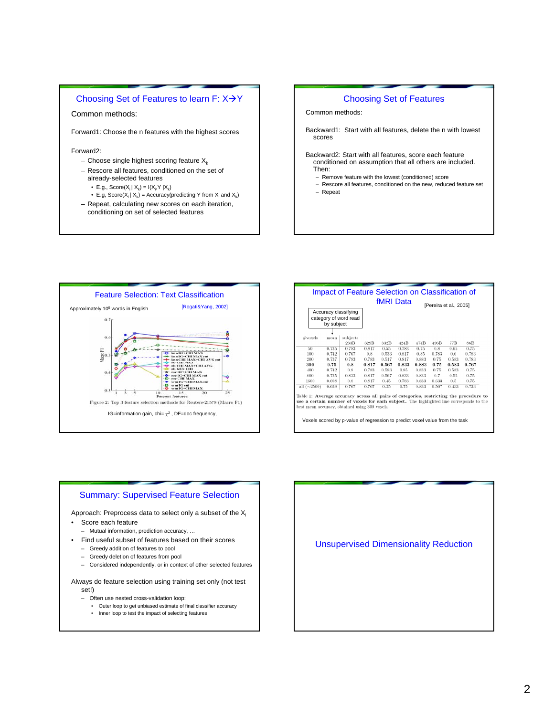## Choosing Set of Features to learn F:  $X \rightarrow Y$

### Common methods:

Forward1: Choose the n features with the highest scores

#### Forward2:

- Choose single highest scoring feature  $X_k$
- Rescore all features, conditioned on the set of already-selected features
	- E.g., Score $(X_i | X_k) = I(X_i, Y | X_k)$
	- E.g, Score $(X_i | X_k)$  = Accuracy(predicting Y from  $X_i$  and  $X_k$ )
- Repeat, calculating new scores on each iteration, conditioning on set of selected features

## Choosing Set of Features

Common methods:

Backward1: Start with all features, delete the n with lowest scores

Backward2: Start with all features, score each feature conditioned on assumption that all others are included. Then:

- Remove feature with the lowest (conditioned) score
- Rescore all features, conditioned on the new, reduced feature set
- Repeat



| Accuracy classifying<br>category of word read<br>by subject |       |                  |       |       |       |       |       | [Pereira et al., 2005] |       |
|-------------------------------------------------------------|-------|------------------|-------|-------|-------|-------|-------|------------------------|-------|
|                                                             |       |                  |       |       |       |       |       |                        |       |
| #voxels                                                     | mean  | subjects<br>233B | 329B  | 332B  | 424B  | 474B  | 496B  | 77B                    | 86B   |
| 50                                                          | 0.735 | 0.783            | 0.817 | 0.55  | 0.783 | 0.75  | 0.8   | 0.65                   | 0.75  |
| 100                                                         | 0.742 | 0.767            | 0.8   | 0.533 | 0.817 | 0.85  | 0.783 | 0.6                    | 0.783 |
| 200                                                         | 0.737 | 0.783            | 0.783 | 0.517 | 0.817 | 0.883 | 0.75  | 0.583                  | 0.783 |
| 300                                                         | 0.75  | 0.8              | 0.817 | 0.567 | 0.833 | 0.883 | 0.75  | 0.583                  | 0.767 |
| 400                                                         | 0.742 | 0.8              | 0.783 | 0.583 | 0.85  | 0.833 | 0.75  | 0.583                  | 0.75  |
| 800                                                         | 0.735 | 0.833            | 0.817 | 0.567 | 0.833 | 0.833 | 0.7   | 0.55                   | 0.75  |
| 1600                                                        | 0.698 | 0.8              | 0.817 | 0.45  | 0.783 | 0.833 | 0.633 | 0.5                    | 0.75  |
| all $(\sim 2500)$                                           | 0.638 | 0.767            | 0.767 | 0.25  | 0.75  | 0.833 | 0.567 | 0.433                  | 0.733 |

# Summary: Supervised Feature Selection

Approach: Preprocess data to select only a subset of the  $X_i$ Score each feature

- Mutual information, prediction accuracy, …
- Find useful subset of features based on their scores
	- Greedy addition of features to pool
	- Greedy deletion of features from pool
	- Considered independently, or in context of other selected features

Always do feature selection using training set only (not test set!)

- Often use nested cross-validation loop:
	- Outer loop to get unbiased estimate of final classifier accuracy
	- Inner loop to test the impact of selecting features

Unsupervised Dimensionality Reduction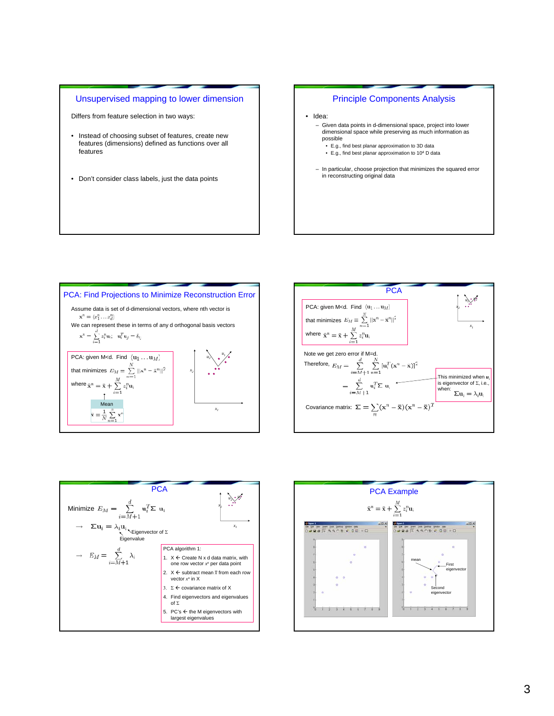## Unsupervised mapping to lower dimension

Differs from feature selection in two ways:

- Instead of choosing subset of features, create new features (dimensions) defined as functions over all features
- Don't consider class labels, just the data points

## Principle Components Analysis

- Idea:
	- Given data points in d-dimensional space, project into lower dimensional space while preserving as much information as possible
		- E.g., find best planar approximation to 3D data
		- E.g., find best planar approximation to 104 D data
	- In particular, choose projection that minimizes the squared error in reconstructing original data







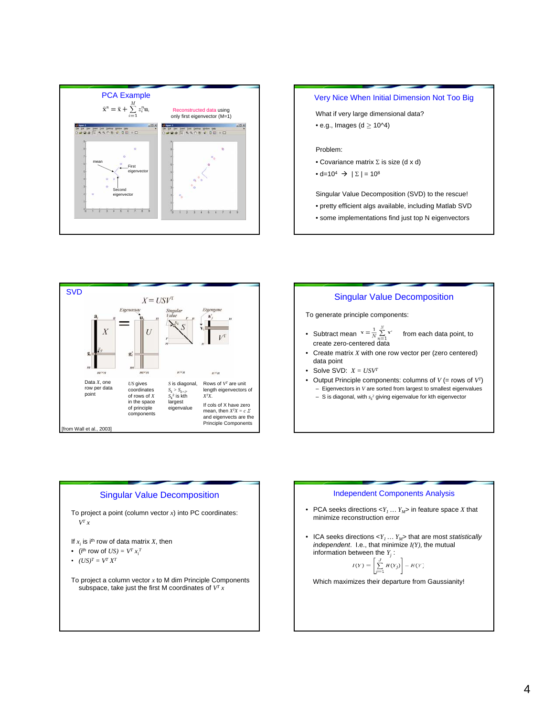





# Singular Value Decomposition

To generate principle components:

- Subtract mean  $\bar{x} = \frac{1}{N} \sum_{n=1}^{N} x^n$  from each data point, to create zero-centered data
- Create matrix *X* with one row vector per (zero centered) data point
- Solve SVD: *X = USVT*
- Output Principle components: columns of *V* (= rows of *VT*)
	- Eigenvectors in *V* are sorted from largest to smallest eigenvalues
	- $-$  S is diagonal, with  $s_k^2$  giving eigenvalue for kth eigenvector

### Singular Value Decomposition

To project a point (column vector *x*) into PC coordinates: *VT x*

- If  $x_i$  is i<sup>th</sup> row of data matrix  $X$ , then
- (i<sup>th</sup> row of  $US$ ) =  $V^T x_i^T$
- $(US)^{T} = V^{T} X^{T}$

To project a column vector *x* to M dim Principle Components subspace, take just the first M coordinates of *VT x*

#### Independent Components Analysis

- PCA seeks directions  $\langle Y_1 \dots Y_M \rangle$  in feature space *X* that minimize reconstruction error
- ICA seeks directions  $\langle Y_1 \dots Y_M \rangle$  that are most *statistically independent*. I.e., that minimize *I(Y),* the mutual information between the  $Y_i$ :

$$
I(Y) = \left[\sum_{j=1}^{J} H(Y_j)\right] - H(Y)
$$

Which maximizes their departure from Gaussianity!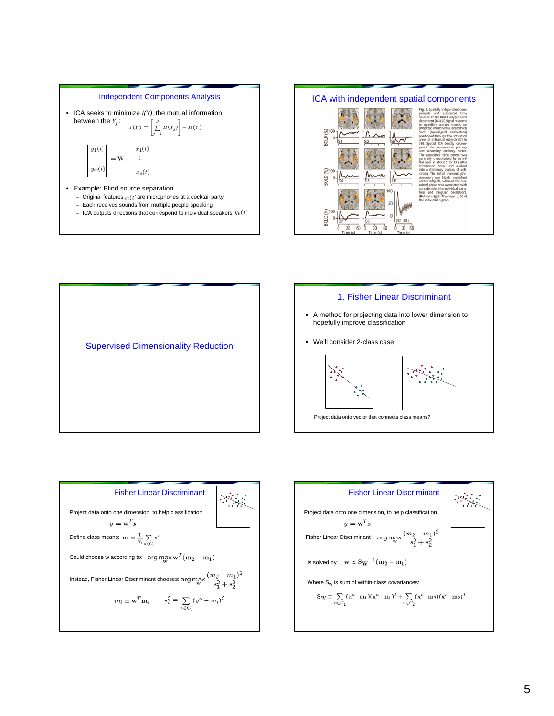

## ICA with independent spatial components





### 1. Fisher Linear Discriminant

- A method for projecting data into lower dimension to hopefully improve classification
- We'll consider 2-class case



| Fisher Linear Discriminant<br>Project data onto one dimension, to help classification<br>$y = w^T x$ |                                               |
|------------------------------------------------------------------------------------------------------|-----------------------------------------------|
| Define class means: $m_i = \frac{1}{N_i} \sum_{n \in C_i} x^n$                                       |                                               |
| Could choose w according to: $\arg \max_{w} w^T (m_2 - m_1)$                                         |                                               |
| Instead, Fisher Linear Discriminant chooses: $\arg \max_{s_1^2} \frac{(m_2 - m_1)^2}{s_1^2 + s_2^2}$ |                                               |
| $m_i \equiv w^T m_i$                                                                                 | $s_i^2 \equiv \sum_{n \in C_i} (y^n - m_i)^2$ |

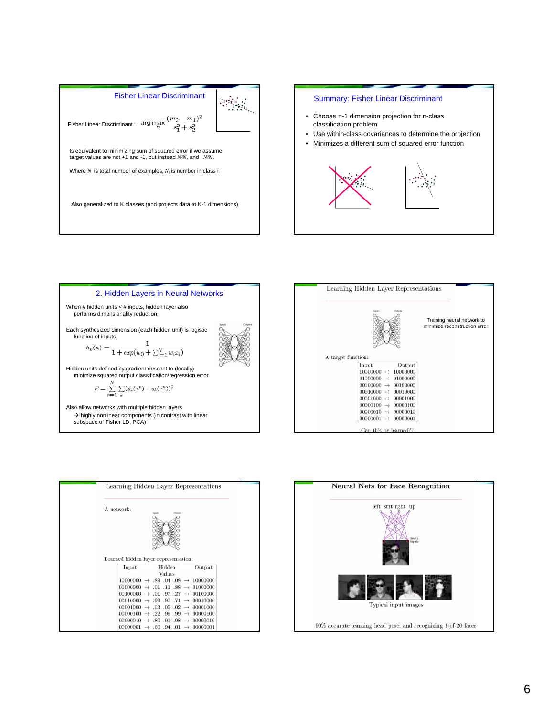





|                    |                                                                    | Sutput |                                                             |
|--------------------|--------------------------------------------------------------------|--------|-------------------------------------------------------------|
|                    |                                                                    |        | Training neural network to<br>minimize reconstruction error |
| A target function: |                                                                    |        |                                                             |
|                    |                                                                    |        |                                                             |
|                    | Input                                                              | Output |                                                             |
|                    | $10000000 \rightarrow 10000000$                                    |        |                                                             |
|                    | $01000000 \rightarrow 01000000$                                    |        |                                                             |
|                    | $00100000 \rightarrow 00100000$<br>$00010000 \rightarrow 00010000$ |        |                                                             |
|                    | $00001000 \rightarrow 00001000$                                    |        |                                                             |
|                    | $00000100 \rightarrow 00000100$                                    |        |                                                             |
|                    | $00000010 \rightarrow 00000010$                                    |        |                                                             |

|                                               | <b><i><u>Inputs</u></i></b> | Ostputs |                                                           |
|-----------------------------------------------|-----------------------------|---------|-----------------------------------------------------------|
| Learned hidden layer representation:<br>Input | Hidden                      |         | Output                                                    |
|                                               |                             |         |                                                           |
|                                               | Values                      |         | $10000000 \rightarrow .89$ .04 .08 $\rightarrow$ 10000000 |
|                                               |                             |         | $01000000 \rightarrow .01$ .11 .88 $\rightarrow 01000000$ |
|                                               |                             |         | $00100000 \rightarrow .01$ .97 .27 $\rightarrow 00100000$ |
|                                               |                             |         | $00010000 \rightarrow .99$ .97 .71 $\rightarrow 00010000$ |
|                                               |                             |         | $00001000 \rightarrow .03$ .05 .02 $\rightarrow 00001000$ |
|                                               |                             |         | $00000100 \rightarrow .22$ .99 .99 $\rightarrow 00000100$ |
|                                               |                             |         | $00000010 \rightarrow .80$ .01 .98 $\rightarrow 00000010$ |